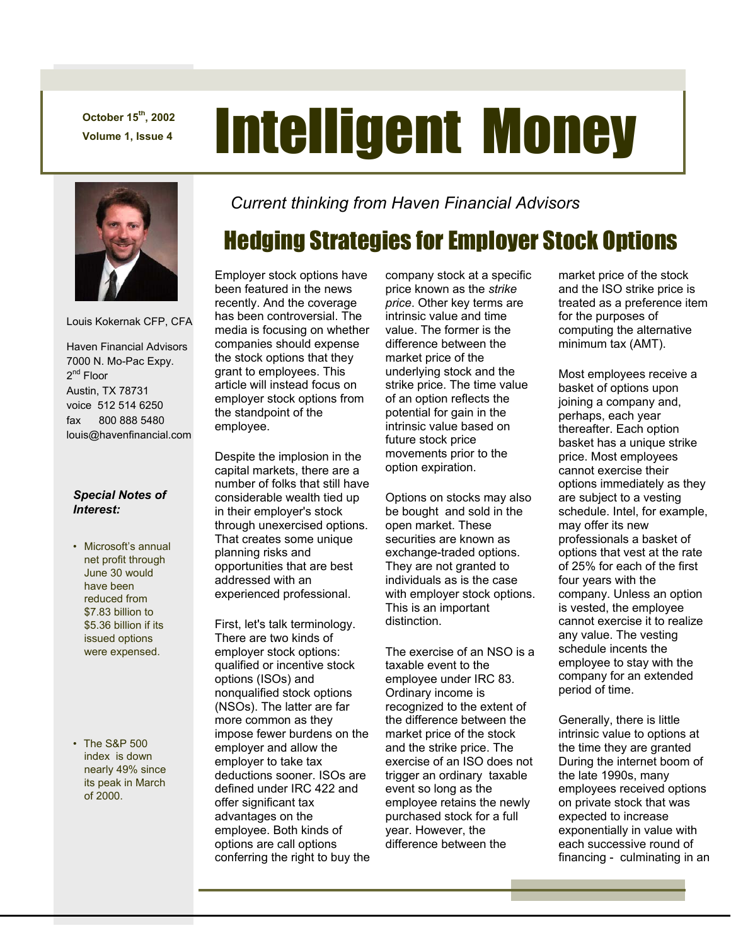**October 15th, 2002** 

# October 15<sup>th</sup>, 2002<br>Volume 1, Issue 4 **Intelligent Money**



Louis Kokernak CFP, CFA

 Haven Financial Advisors 7000 N. Mo-Pac Expy. 2<sup>nd</sup> Floor Austin, TX 78731 voice 512 514 6250 fax 800 888 5480 louis@havenfinancial.com

#### *Special Notes of Interest:*

- Microsoft's annual net profit through June 30 would have been reduced from \$7.83 billion to \$5.36 billion if its issued options were expensed.
- The S&P 500 index is down nearly 49% since its peak in March of 2000.

*Current thinking from Haven Financial Advisors* 

## Hedging Strategies for Employer Stock Options

Employer stock options have been featured in the news recently. And the coverage has been controversial. The media is focusing on whether companies should expense the stock options that they grant to employees. This article will instead focus on employer stock options from the standpoint of the employee.

Despite the implosion in the capital markets, there are a number of folks that still have considerable wealth tied up in their employer's stock through unexercised options. That creates some unique planning risks and opportunities that are best addressed with an experienced professional.

First, let's talk terminology. There are two kinds of employer stock options: qualified or incentive stock options (ISOs) and nonqualified stock options (NSOs). The latter are far more common as they impose fewer burdens on the employer and allow the employer to take tax deductions sooner. ISOs are defined under IRC 422 and offer significant tax advantages on the employee. Both kinds of options are call options conferring the right to buy the company stock at a specific price known as the *strike price*. Other key terms are intrinsic value and time value. The former is the difference between the market price of the underlying stock and the strike price. The time value of an option reflects the potential for gain in the intrinsic value based on future stock price movements prior to the option expiration.

Options on stocks may also be bought and sold in the open market. These securities are known as exchange-traded options. They are not granted to individuals as is the case with employer stock options. This is an important distinction.

The exercise of an NSO is a taxable event to the employee under IRC 83. Ordinary income is recognized to the extent of the difference between the market price of the stock and the strike price. The exercise of an ISO does not trigger an ordinary taxable event so long as the employee retains the newly purchased stock for a full year. However, the difference between the

market price of the stock and the ISO strike price is treated as a preference item for the purposes of computing the alternative minimum tax (AMT).

Most employees receive a basket of options upon joining a company and, perhaps, each year thereafter. Each option basket has a unique strike price. Most employees cannot exercise their options immediately as they are subject to a vesting schedule. Intel, for example, may offer its new professionals a basket of options that vest at the rate of 25% for each of the first four years with the company. Unless an option is vested, the employee cannot exercise it to realize any value. The vesting schedule incents the employee to stay with the company for an extended period of time.

Generally, there is little intrinsic value to options at the time they are granted During the internet boom of the late 1990s, many employees received options on private stock that was expected to increase exponentially in value with each successive round of financing - culminating in an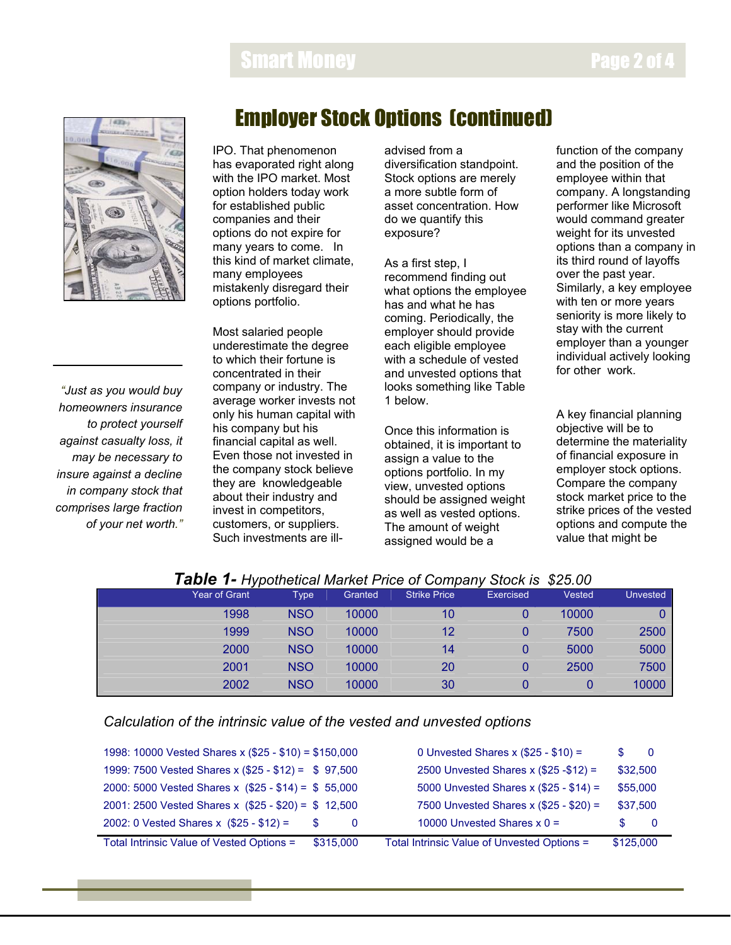## Smart Money



*"Just as you would buy homeowners insurance to protect yourself against casualty loss, it may be necessary to insure against a decline in company stock that comprises large fraction of your net worth."* 

## Employer Stock Options (continued)

IPO. That phenomenon has evaporated right along with the IPO market. Most option holders today work for established public companies and their options do not expire for many years to come. In this kind of market climate, many employees mistakenly disregard their options portfolio.

Most salaried people underestimate the degree to which their fortune is concentrated in their company or industry. The average worker invests not only his human capital with his company but his financial capital as well. Even those not invested in the company stock believe they are knowledgeable about their industry and invest in competitors, customers, or suppliers. Such investments are illadvised from a diversification standpoint. Stock options are merely a more subtle form of asset concentration. How do we quantify this exposure?

As a first step, I recommend finding out what options the employee has and what he has coming. Periodically, the employer should provide each eligible employee with a schedule of vested and unvested options that looks something like Table 1 below.

Once this information is obtained, it is important to assign a value to the options portfolio. In my view, unvested options should be assigned weight as well as vested options. The amount of weight assigned would be a

function of the company and the position of the employee within that company. A longstanding performer like Microsoft would command greater weight for its unvested options than a company in its third round of layoffs over the past year. Similarly, a key employee with ten or more years seniority is more likely to stay with the current employer than a younger individual actively looking for other work.

A key financial planning objective will be to determine the materiality of financial exposure in employer stock options. Compare the company stock market price to the strike prices of the vested options and compute the value that might be

| <b>Table 1- Hypothetical Market Price of Company Stock Is \$25.00</b> |               |            |         |                     |           |        |                 |
|-----------------------------------------------------------------------|---------------|------------|---------|---------------------|-----------|--------|-----------------|
|                                                                       | Year of Grant | Type       | Granted | <b>Strike Price</b> | Exercised | Vested | <b>Unvested</b> |
|                                                                       | 1998          | <b>NSO</b> | 10000   | 10                  |           | 10000  |                 |
|                                                                       | 1999          | <b>NSO</b> | 10000   | 12                  |           | 7500   | 2500            |
|                                                                       | 2000          | <b>NSO</b> | 10000   | 14                  | 0         | 5000   | 5000            |
|                                                                       | 2001          | <b>NSO</b> | 10000   | 20                  |           | 2500   | 7500            |
|                                                                       | 2002          | <b>NSO</b> | 10000   | 30                  |           |        | 10000           |

#### *Table 1- Hypothetical Market Price of Company Stock is \$25.00*

#### *Calculation of the intrinsic value of the vested and unvested options*

| 1998: 10000 Vested Shares x (\$25 - \$10) = \$150,000  | 0 Unvested Shares x $(\$25 - \$10) =$<br>S               |
|--------------------------------------------------------|----------------------------------------------------------|
| 1999: 7500 Vested Shares x (\$25 - \$12) = \$97,500    | 2500 Unvested Shares x (\$25 - \$12) =<br>\$32,500       |
| 2000: 5000 Vested Shares x $(\$25 - \$14) = \$55,000$  | 5000 Unvested Shares x (\$25 - \$14) =<br>\$55,000       |
| 2001: 2500 Vested Shares x (\$25 - \$20) = \$ 12,500   | 7500 Unvested Shares x (\$25 - \$20) =<br>\$37,500       |
| 2002: 0 Vested Shares x $(\$25 - \$12) =$              | 10000 Unvested Shares $x 0 =$<br>$\Omega$                |
| Total Intrinsic Value of Vested Options =<br>\$315,000 | Total Intrinsic Value of Unvested Options =<br>\$125,000 |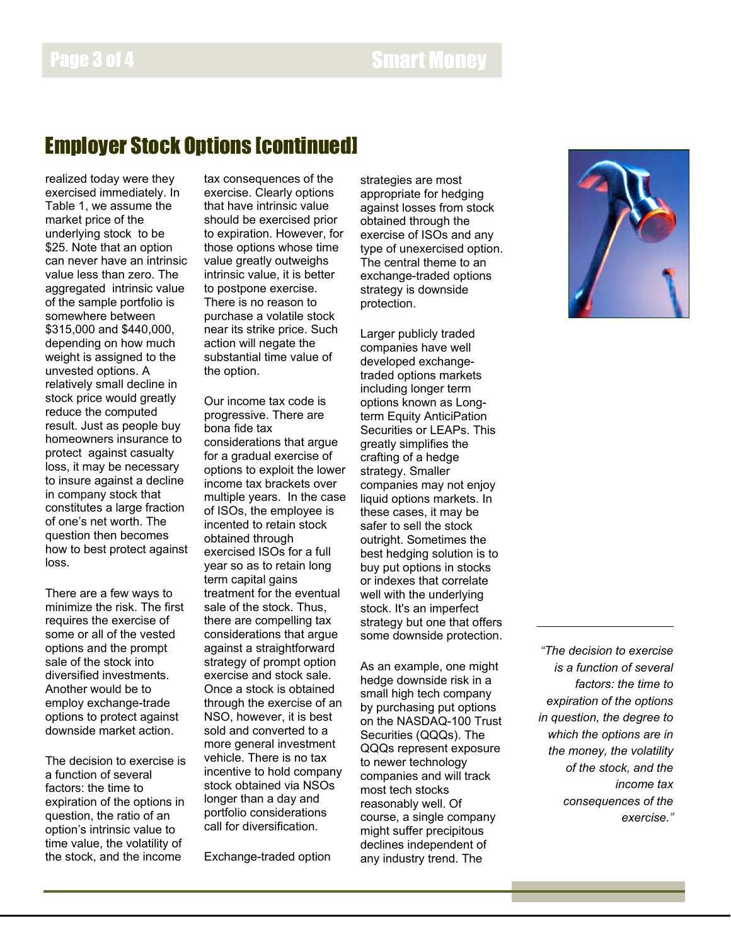## Page 3 of 4 Smart Money and Smart Money

#### Employer Stock Options [continued]

realized today were they exercised immediately. In Table 1, we assume the market price of the underlying stock to be \$25. Note that an option can never have an intrinsic value less than zero. The aggregated intrinsic value of the sample portfolio is somewhere between \$315,000 and \$440,000, depending on how much weight is assigned to the unvested options. A relatively small decline in stock price would greatly reduce the computed result. Just as people buy homeowners insurance to protect against casualty loss, it may be necessary to insure against a decline in company stock that constitutes a large fraction of one's net worth. The question then becomes how to best protect against loss.

There are a few ways to minimize the risk. The first requires the exercise of some or all of the vested options and the prompt sale of the stock into diversified investments. Another would be to employ exchange-trade options to protect against downside market action.

The decision to exercise is a function of several factors: the time to expiration of the options in question, the ratio of an option's intrinsic value to time value, the volatility of the stock, and the income

tax consequences of the exercise. Clearly options that have intrinsic value should be exercised prior to expiration. However, for those options whose time value greatly outweighs intrinsic value, it is better to postpone exercise. There is no reason to purchase a volatile stock near its strike price. Such action will negate the substantial time value of the option.

Our income tax code is progressive. There are bona fide tax considerations that argue for a gradual exercise of options to exploit the lower income tax brackets over multiple years. In the case of ISOs, the employee is incented to retain stock obtained through exercised ISOs for a full year so as to retain long term capital gains treatment for the eventual sale of the stock. Thus, there are compelling tax considerations that argue against a straightforward strategy of prompt option exercise and stock sale. Once a stock is obtained through the exercise of an NSO, however, it is best sold and converted to a more general investment vehicle. There is no tax incentive to hold company stock obtained via NSOs longer than a day and portfolio considerations call for diversification.

Exchange-traded option

strategies are most appropriate for hedging against losses from stock obtained through the exercise of ISOs and any type of unexercised option. The central theme to an exchange-traded options strategy is downside protection.

Larger publicly traded companies have well developed exchangetraded options markets including longer term options known as Longterm Equity AnticiPation Securities or LEAPs. This greatly simplifies the crafting of a hedge strategy. Smaller companies may not enjoy liquid options markets. In these cases, it may be safer to sell the stock outright. Sometimes the best hedging solution is to buy put options in stocks or indexes that correlate well with the underlying stock. It's an imperfect strategy but one that offers some downside protection.

As an example, one might hedge downside risk in a small high tech company by purchasing put options on the NASDAQ-100 Trust Securities (QQQs). The QQQs represent exposure to newer technology companies and will track most tech stocks reasonably well. Of course, a single company might suffer precipitous declines independent of any industry trend. The



*"The decision to exercise is a function of several factors: the time to expiration of the options in question, the degree to which the options are in the money, the volatility of the stock, and the income tax consequences of the exercise."*